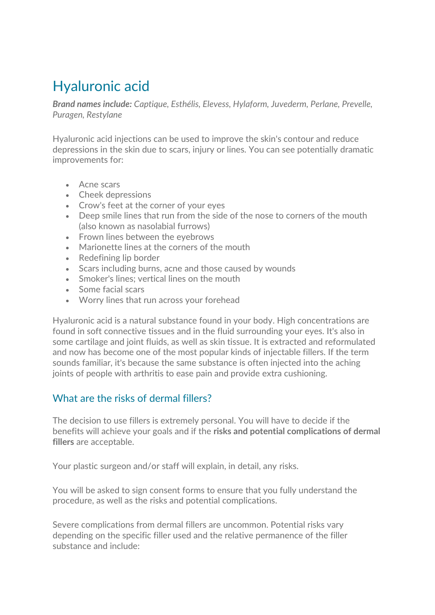## Hyaluronic acid

*Brand names include: Captique, Esthélis, Elevess, Hylaform, Juvederm, Perlane, Prevelle, Puragen, Restylane*

Hyaluronic acid injections can be used to improve the skin's contour and reduce depressions in the skin due to scars, injury or lines. You can see potentially dramatic improvements for:

- Acne scars
- Cheek depressions
- Crow's feet at the corner of your eyes
- Deep smile lines that run from the side of the nose to corners of the mouth (also known as nasolabial furrows)
- Frown lines between the eyebrows
- Marionette lines at the corners of the mouth
- Redefining lip border
- Scars including burns, acne and those caused by wounds
- Smoker's lines: vertical lines on the mouth
- Some facial scars
- Worry lines that run across your forehead

Hyaluronic acid is a natural substance found in your body. High concentrations are found in soft connective tissues and in the fluid surrounding your eyes. It's also in some cartilage and joint fluids, as well as skin tissue. It is extracted and reformulated and now has become one of the most popular kinds of injectable fillers. If the term sounds familiar, it's because the same substance is often injected into the aching joints of people with arthritis to ease pain and provide extra cushioning.

## What are the risks of dermal fillers?

The decision to use fillers is extremely personal. You will have to decide if the benefits will achieve your goals and if the **risks and potential complications of dermal fillers** are acceptable.

Your plastic surgeon and/or staff will explain, in detail, any risks.

You will be asked to sign consent forms to ensure that you fully understand the procedure, as well as the risks and potential complications.

Severe complications from dermal fillers are uncommon. Potential risks vary depending on the specific filler used and the relative permanence of the filler substance and include: